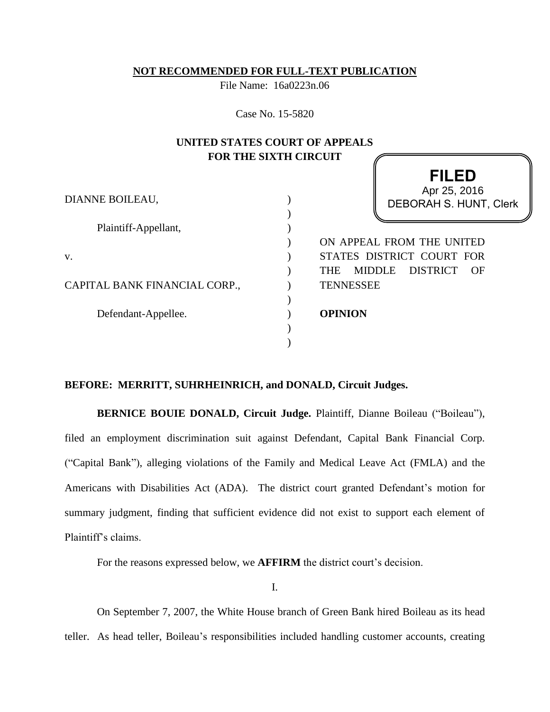### **NOT RECOMMENDED FOR FULL-TEXT PUBLICATION**

File Name: 16a0223n.06

Case No. 15-5820

# **UNITED STATES COURT OF APPEALS FOR THE SIXTH CIRCUIT**

| Apr 25, 2016                                    |
|-------------------------------------------------|
| DEBORAH S. HUNT, Clerk                          |
|                                                 |
|                                                 |
| ON APPEAL FROM THE UNITED                       |
| STATES DISTRICT COURT FOR                       |
| DISTRICT<br><b>MIDDLE</b><br><b>THE</b><br>- OF |
| <b>TENNESSEE</b>                                |
|                                                 |
| <b>OPINION</b>                                  |
|                                                 |
|                                                 |
|                                                 |

**FILED**

# **BEFORE: MERRITT, SUHRHEINRICH, and DONALD, Circuit Judges.**

**BERNICE BOUIE DONALD, Circuit Judge.** Plaintiff, Dianne Boileau ("Boileau"), filed an employment discrimination suit against Defendant, Capital Bank Financial Corp. ("Capital Bank"), alleging violations of the Family and Medical Leave Act (FMLA) and the Americans with Disabilities Act (ADA). The district court granted Defendant's motion for summary judgment, finding that sufficient evidence did not exist to support each element of Plaintiff's claims.

For the reasons expressed below, we **AFFIRM** the district court's decision.

I.

On September 7, 2007, the White House branch of Green Bank hired Boileau as its head teller. As head teller, Boileau's responsibilities included handling customer accounts, creating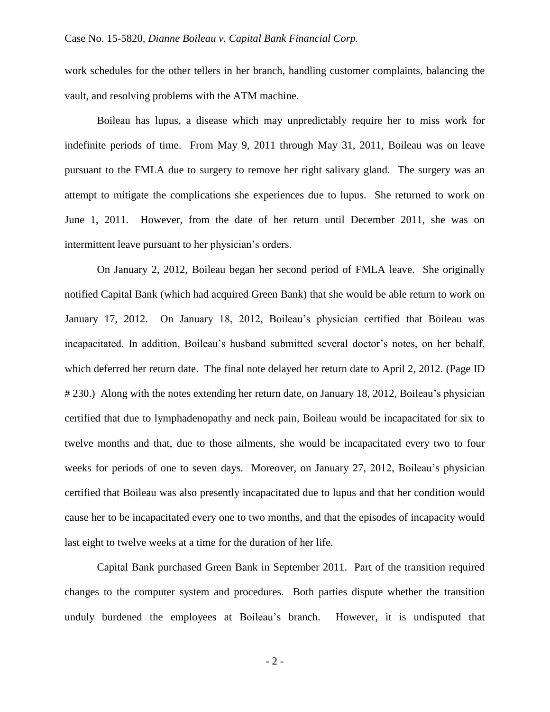work schedules for the other tellers in her branch, handling customer complaints, balancing the vault, and resolving problems with the ATM machine.

Boileau has lupus, a disease which may unpredictably require her to miss work for indefinite periods of time. From May 9, 2011 through May 31, 2011, Boileau was on leave pursuant to the FMLA due to surgery to remove her right salivary gland. The surgery was an attempt to mitigate the complications she experiences due to lupus. She returned to work on June 1, 2011. However, from the date of her return until December 2011, she was on intermittent leave pursuant to her physician's orders.

On January 2, 2012, Boileau began her second period of FMLA leave. She originally notified Capital Bank (which had acquired Green Bank) that she would be able return to work on January 17, 2012. On January 18, 2012, Boileau's physician certified that Boileau was incapacitated. In addition, Boileau's husband submitted several doctor's notes, on her behalf, which deferred her return date. The final note delayed her return date to April 2, 2012. (Page ID # 230.) Along with the notes extending her return date, on January 18, 2012, Boileau's physician certified that due to lymphadenopathy and neck pain, Boileau would be incapacitated for six to twelve months and that, due to those ailments, she would be incapacitated every two to four weeks for periods of one to seven days. Moreover, on January 27, 2012, Boileau's physician certified that Boileau was also presently incapacitated due to lupus and that her condition would cause her to be incapacitated every one to two months, and that the episodes of incapacity would last eight to twelve weeks at a time for the duration of her life.

Capital Bank purchased Green Bank in September 2011. Part of the transition required changes to the computer system and procedures. Both parties dispute whether the transition unduly burdened the employees at Boileau's branch. However, it is undisputed that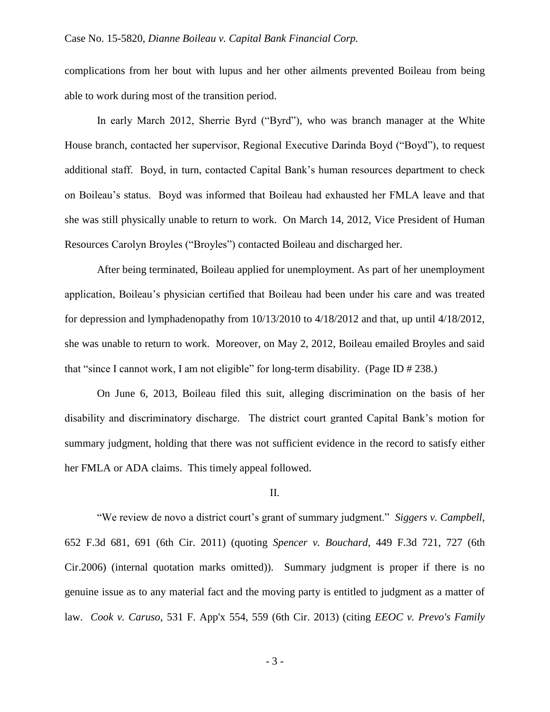complications from her bout with lupus and her other ailments prevented Boileau from being able to work during most of the transition period.

In early March 2012, Sherrie Byrd ("Byrd"), who was branch manager at the White House branch, contacted her supervisor, Regional Executive Darinda Boyd ("Boyd"), to request additional staff. Boyd, in turn, contacted Capital Bank's human resources department to check on Boileau's status. Boyd was informed that Boileau had exhausted her FMLA leave and that she was still physically unable to return to work. On March 14, 2012, Vice President of Human Resources Carolyn Broyles ("Broyles") contacted Boileau and discharged her.

After being terminated, Boileau applied for unemployment. As part of her unemployment application, Boileau's physician certified that Boileau had been under his care and was treated for depression and lymphadenopathy from 10/13/2010 to 4/18/2012 and that, up until 4/18/2012, she was unable to return to work. Moreover, on May 2, 2012, Boileau emailed Broyles and said that "since I cannot work, I am not eligible" for long-term disability. (Page ID # 238.)

On June 6, 2013, Boileau filed this suit, alleging discrimination on the basis of her disability and discriminatory discharge. The district court granted Capital Bank's motion for summary judgment, holding that there was not sufficient evidence in the record to satisfy either her FMLA or ADA claims. This timely appeal followed.

#### II.

"We review de novo a district court's grant of summary judgment." *Siggers v. Campbell*, 652 F.3d 681, 691 (6th Cir. 2011) (quoting *Spencer v. Bouchard*, 449 F.3d 721, 727 (6th Cir.2006) (internal quotation marks omitted)). Summary judgment is proper if there is no genuine issue as to any material fact and the moving party is entitled to judgment as a matter of law. *Cook v. Caruso*, 531 F. App'x 554, 559 (6th Cir. 2013) (citing *EEOC v. Prevo's Family* 

- 3 -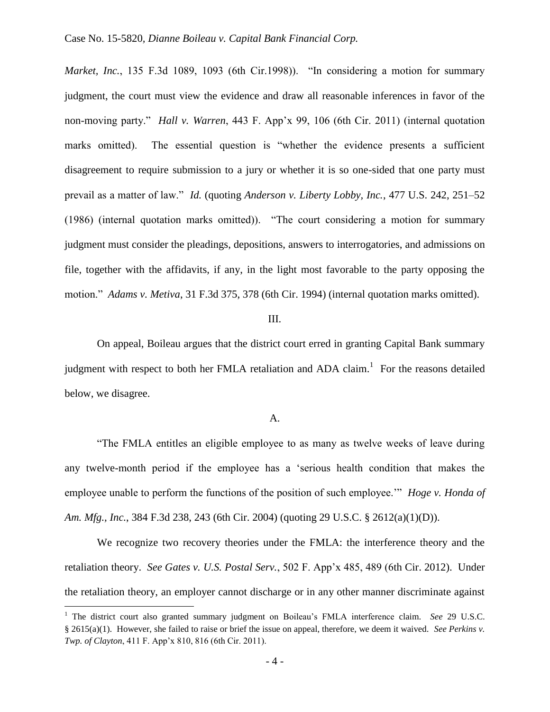*Market, Inc.*, 135 F.3d 1089, 1093 (6th Cir.1998)). "In considering a motion for summary judgment, the court must view the evidence and draw all reasonable inferences in favor of the non-moving party." *Hall v. Warren*, 443 F. App'x 99, 106 (6th Cir. 2011) (internal quotation marks omitted). The essential question is "whether the evidence presents a sufficient disagreement to require submission to a jury or whether it is so one-sided that one party must prevail as a matter of law." *Id.* (quoting *Anderson v. Liberty Lobby, Inc.*, 477 U.S. 242, 251–52 (1986) (internal quotation marks omitted)). "The court considering a motion for summary judgment must consider the pleadings, depositions, answers to interrogatories, and admissions on file, together with the affidavits, if any, in the light most favorable to the party opposing the motion." *Adams v. Metiva*, 31 F.3d 375, 378 (6th Cir. 1994) (internal quotation marks omitted).

## III.

On appeal, Boileau argues that the district court erred in granting Capital Bank summary judgment with respect to both her FMLA retaliation and ADA claim.<sup>1</sup> For the reasons detailed below, we disagree.

### A.

"The FMLA entitles an eligible employee to as many as twelve weeks of leave during any twelve-month period if the employee has a 'serious health condition that makes the employee unable to perform the functions of the position of such employee.'" *Hoge v. Honda of Am. Mfg., Inc.*, 384 F.3d 238, 243 (6th Cir. 2004) (quoting 29 U.S.C. § 2612(a)(1)(D)).

We recognize two recovery theories under the FMLA: the interference theory and the retaliation theory. *See Gates v. U.S. Postal Serv.*, 502 F. App'x 485, 489 (6th Cir. 2012). Under the retaliation theory, an employer cannot discharge or in any other manner discriminate against

 $\overline{a}$ 

<sup>1</sup> The district court also granted summary judgment on Boileau's FMLA interference claim. *See* 29 U.S.C. § 2615(a)(1). However, she failed to raise or brief the issue on appeal, therefore, we deem it waived. *See Perkins v. Twp. of Clayton*, 411 F. App'x 810, 816 (6th Cir. 2011).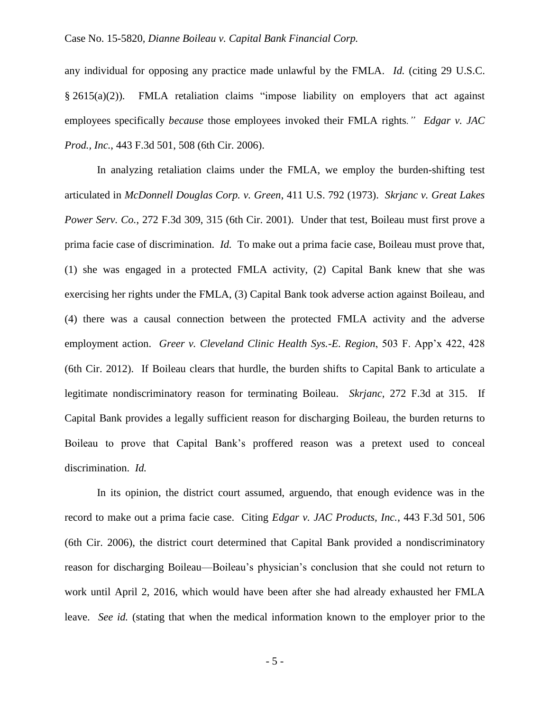# Case No. 15-5820*, Dianne Boileau v. Capital Bank Financial Corp.*

any individual for opposing any practice made unlawful by the FMLA. *Id.* (citing 29 U.S.C. § 2615(a)(2)). FMLA retaliation claims "impose liability on employers that act against employees specifically *because* those employees invoked their FMLA rights*." Edgar v. JAC Prod., Inc.*, 443 F.3d 501, 508 (6th Cir. 2006).

In analyzing retaliation claims under the FMLA, we employ the burden-shifting test articulated in *McDonnell Douglas Corp. v. Green*, 411 U.S. 792 (1973). *Skrjanc v. Great Lakes Power Serv. Co.*, 272 F.3d 309, 315 (6th Cir. 2001). Under that test, Boileau must first prove a prima facie case of discrimination. *Id.* To make out a prima facie case, Boileau must prove that, (1) she was engaged in a protected FMLA activity, (2) Capital Bank knew that she was exercising her rights under the FMLA, (3) Capital Bank took adverse action against Boileau, and (4) there was a causal connection between the protected FMLA activity and the adverse employment action. *Greer v. Cleveland Clinic Health Sys.-E. Region*, 503 F. App'x 422, 428 (6th Cir. 2012). If Boileau clears that hurdle, the burden shifts to Capital Bank to articulate a legitimate nondiscriminatory reason for terminating Boileau. *Skrjanc,* 272 F.3d at 315.If Capital Bank provides a legally sufficient reason for discharging Boileau, the burden returns to Boileau to prove that Capital Bank's proffered reason was a pretext used to conceal discrimination. *Id.*

In its opinion, the district court assumed, arguendo, that enough evidence was in the record to make out a prima facie case. Citing *Edgar v. JAC Products, Inc.*, 443 F.3d 501, 506 (6th Cir. 2006), the district court determined that Capital Bank provided a nondiscriminatory reason for discharging Boileau—Boileau's physician's conclusion that she could not return to work until April 2, 2016, which would have been after she had already exhausted her FMLA leave. *See id.* (stating that when the medical information known to the employer prior to the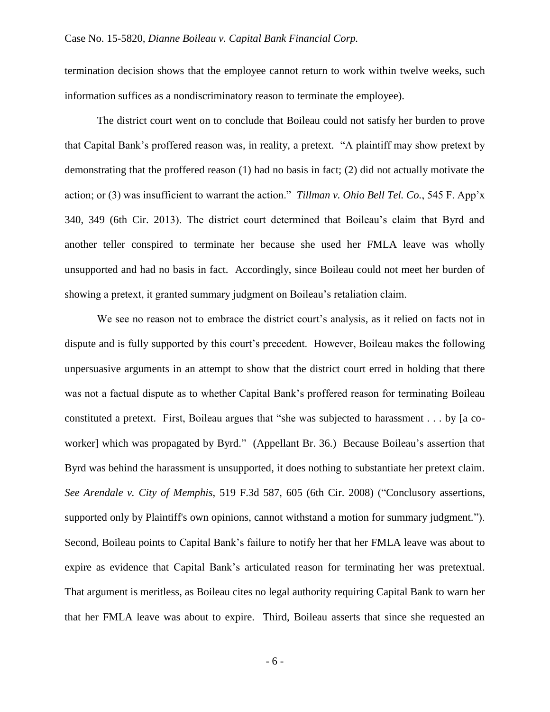termination decision shows that the employee cannot return to work within twelve weeks, such information suffices as a nondiscriminatory reason to terminate the employee).

The district court went on to conclude that Boileau could not satisfy her burden to prove that Capital Bank's proffered reason was, in reality, a pretext. "A plaintiff may show pretext by demonstrating that the proffered reason (1) had no basis in fact; (2) did not actually motivate the action; or (3) was insufficient to warrant the action." *Tillman v. Ohio Bell Tel. Co.*, 545 F. App'x 340, 349 (6th Cir. 2013). The district court determined that Boileau's claim that Byrd and another teller conspired to terminate her because she used her FMLA leave was wholly unsupported and had no basis in fact. Accordingly, since Boileau could not meet her burden of showing a pretext, it granted summary judgment on Boileau's retaliation claim.

We see no reason not to embrace the district court's analysis, as it relied on facts not in dispute and is fully supported by this court's precedent. However, Boileau makes the following unpersuasive arguments in an attempt to show that the district court erred in holding that there was not a factual dispute as to whether Capital Bank's proffered reason for terminating Boileau constituted a pretext. First, Boileau argues that "she was subjected to harassment . . . by [a coworker] which was propagated by Byrd." (Appellant Br. 36.) Because Boileau's assertion that Byrd was behind the harassment is unsupported, it does nothing to substantiate her pretext claim. *See Arendale v. City of Memphis*, 519 F.3d 587, 605 (6th Cir. 2008) ("Conclusory assertions, supported only by Plaintiff's own opinions, cannot withstand a motion for summary judgment."). Second, Boileau points to Capital Bank's failure to notify her that her FMLA leave was about to expire as evidence that Capital Bank's articulated reason for terminating her was pretextual. That argument is meritless, as Boileau cites no legal authority requiring Capital Bank to warn her that her FMLA leave was about to expire. Third, Boileau asserts that since she requested an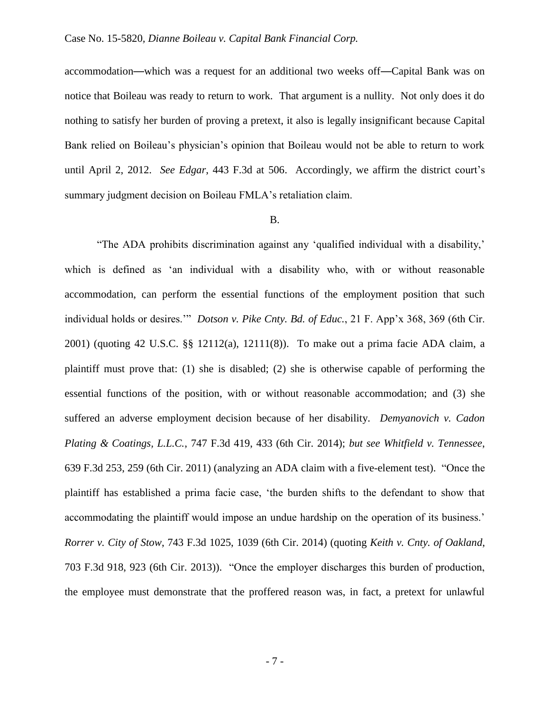## Case No. 15-5820*, Dianne Boileau v. Capital Bank Financial Corp.*

accommodation—which was a request for an additional two weeks off—Capital Bank was on notice that Boileau was ready to return to work. That argument is a nullity. Not only does it do nothing to satisfy her burden of proving a pretext, it also is legally insignificant because Capital Bank relied on Boileau's physician's opinion that Boileau would not be able to return to work until April 2, 2012. *See Edgar*, 443 F.3d at 506. Accordingly, we affirm the district court's summary judgment decision on Boileau FMLA's retaliation claim.

### B.

"The ADA prohibits discrimination against any 'qualified individual with a disability,' which is defined as 'an individual with a disability who, with or without reasonable accommodation, can perform the essential functions of the employment position that such individual holds or desires.'" *Dotson v. Pike Cnty. Bd. of Educ.*, 21 F. App'x 368, 369 (6th Cir. 2001) (quoting 42 U.S.C. §§ 12112(a), 12111(8)). To make out a prima facie ADA claim, a plaintiff must prove that: (1) she is disabled; (2) she is otherwise capable of performing the essential functions of the position, with or without reasonable accommodation; and (3) she suffered an adverse employment decision because of her disability. *Demyanovich v. Cadon Plating & Coatings, L.L.C.*, 747 F.3d 419, 433 (6th Cir. 2014); *but see Whitfield v. Tennessee*, 639 F.3d 253, 259 (6th Cir. 2011) (analyzing an ADA claim with a five-element test). "Once the plaintiff has established a prima facie case, 'the burden shifts to the defendant to show that accommodating the plaintiff would impose an undue hardship on the operation of its business.' *Rorrer v. City of Stow*, 743 F.3d 1025, 1039 (6th Cir. 2014) (quoting *Keith v. Cnty. of Oakland*, 703 F.3d 918, 923 (6th Cir. 2013)). "Once the employer discharges this burden of production, the employee must demonstrate that the proffered reason was, in fact, a pretext for unlawful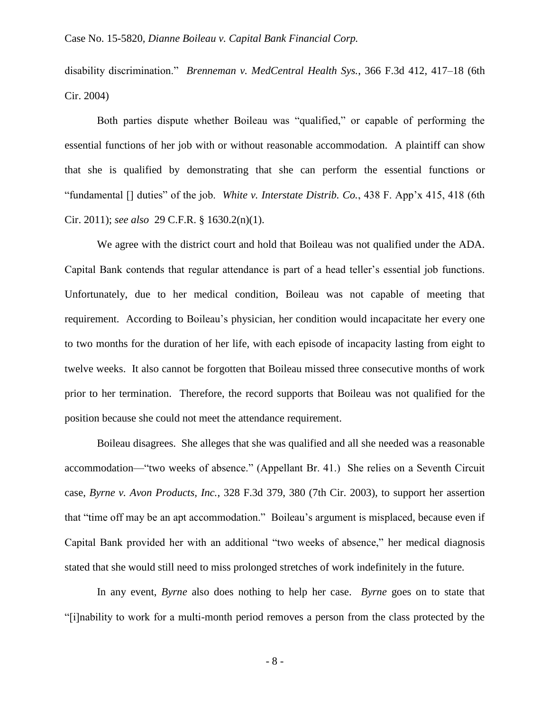disability discrimination." *Brenneman v. MedCentral Health Sys.*, 366 F.3d 412, 417–18 (6th Cir. 2004)

Both parties dispute whether Boileau was "qualified," or capable of performing the essential functions of her job with or without reasonable accommodation. A plaintiff can show that she is qualified by demonstrating that she can perform the essential functions or "fundamental [] duties" of the job. *White v. Interstate Distrib. Co.*, 438 F. App'x 415, 418 (6th Cir. 2011); *see also* 29 C.F.R. § 1630.2(n)(1).

We agree with the district court and hold that Boileau was not qualified under the ADA. Capital Bank contends that regular attendance is part of a head teller's essential job functions. Unfortunately, due to her medical condition, Boileau was not capable of meeting that requirement. According to Boileau's physician, her condition would incapacitate her every one to two months for the duration of her life, with each episode of incapacity lasting from eight to twelve weeks. It also cannot be forgotten that Boileau missed three consecutive months of work prior to her termination. Therefore, the record supports that Boileau was not qualified for the position because she could not meet the attendance requirement.

Boileau disagrees. She alleges that she was qualified and all she needed was a reasonable accommodation—"two weeks of absence." (Appellant Br. 41.) She relies on a Seventh Circuit case, *Byrne v. Avon Products, Inc.*, 328 F.3d 379, 380 (7th Cir. 2003), to support her assertion that "time off may be an apt accommodation." Boileau's argument is misplaced, because even if Capital Bank provided her with an additional "two weeks of absence," her medical diagnosis stated that she would still need to miss prolonged stretches of work indefinitely in the future.

In any event, *Byrne* also does nothing to help her case. *Byrne* goes on to state that "[i]nability to work for a multi-month period removes a person from the class protected by the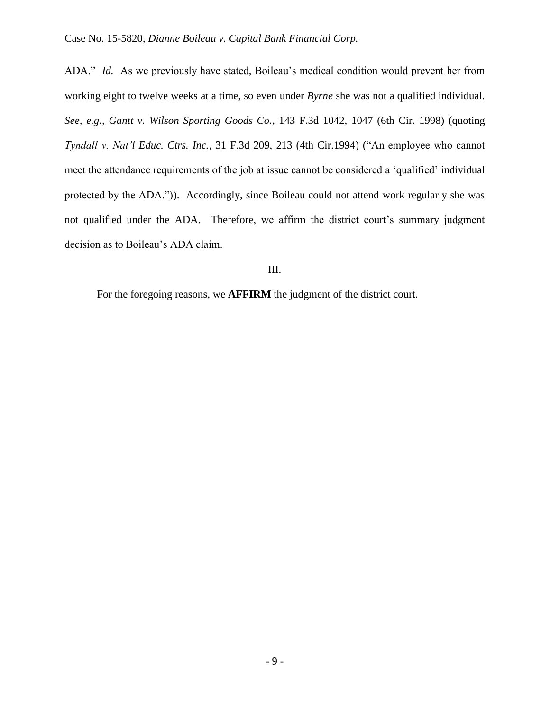ADA." *Id.* As we previously have stated, Boileau's medical condition would prevent her from working eight to twelve weeks at a time, so even under *Byrne* she was not a qualified individual*. See, e.g., Gantt v. Wilson Sporting Goods Co.*, 143 F.3d 1042, 1047 (6th Cir. 1998) (quoting *Tyndall v. Nat'l Educ. Ctrs. Inc.*, 31 F.3d 209, 213 (4th Cir.1994) ("An employee who cannot meet the attendance requirements of the job at issue cannot be considered a 'qualified' individual protected by the ADA.")). Accordingly, since Boileau could not attend work regularly she was not qualified under the ADA. Therefore, we affirm the district court's summary judgment decision as to Boileau's ADA claim.

# III.

For the foregoing reasons, we **AFFIRM** the judgment of the district court.